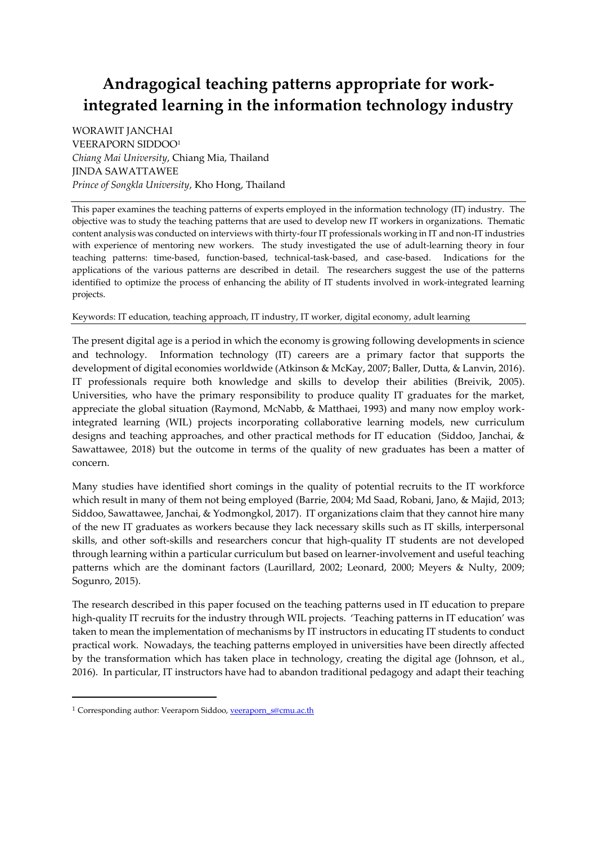# **Andragogical teaching patterns appropriate for workintegrated learning in the information technology industry**

WORAWIT JANCHAI VEERAPORN SIDDOO<sup>1</sup> *Chiang Mai University*, Chiang Mia, Thailand JINDA SAWATTAWEE *Prince of Songkla University*, Kho Hong, Thailand

This paper examines the teaching patterns of experts employed in the information technology (IT) industry. The objective was to study the teaching patterns that are used to develop new IT workers in organizations. Thematic content analysis was conducted on interviews with thirty-four IT professionals working in IT and non-IT industries with experience of mentoring new workers. The study investigated the use of adult-learning theory in four teaching patterns: time-based, function-based, technical-task-based, and case-based. Indications for the applications of the various patterns are described in detail. The researchers suggest the use of the patterns identified to optimize the process of enhancing the ability of IT students involved in work-integrated learning projects.

# Keywords: IT education, teaching approach, IT industry, IT worker, digital economy, adult learning

The present digital age is a period in which the economy is growing following developments in science and technology. Information technology (IT) careers are a primary factor that supports the development of digital economies worldwide (Atkinson & McKay, 2007; Baller, Dutta, & Lanvin, 2016). IT professionals require both knowledge and skills to develop their abilities (Breivik, 2005). Universities, who have the primary responsibility to produce quality IT graduates for the market, appreciate the global situation (Raymond, McNabb, & Matthaei, 1993) and many now employ workintegrated learning (WIL) projects incorporating collaborative learning models, new curriculum designs and teaching approaches, and other practical methods for IT education (Siddoo, Janchai, & Sawattawee, 2018) but the outcome in terms of the quality of new graduates has been a matter of concern.

Many studies have identified short comings in the quality of potential recruits to the IT workforce which result in many of them not being employed (Barrie, 2004; Md Saad, Robani, Jano, & Majid, 2013; Siddoo, Sawattawee, Janchai, & Yodmongkol, 2017). IT organizations claim that they cannot hire many of the new IT graduates as workers because they lack necessary skills such as IT skills, interpersonal skills, and other soft-skills and researchers concur that high-quality IT students are not developed through learning within a particular curriculum but based on learner-involvement and useful teaching patterns which are the dominant factors (Laurillard, 2002; Leonard, 2000; Meyers & Nulty, 2009; Sogunro, 2015).

The research described in this paper focused on the teaching patterns used in IT education to prepare high-quality IT recruits for the industry through WIL projects. 'Teaching patterns in IT education' was taken to mean the implementation of mechanisms by IT instructors in educating IT students to conduct practical work. Nowadays, the teaching patterns employed in universities have been directly affected by the transformation which has taken place in technology, creating the digital age (Johnson, et al., 2016). In particular, IT instructors have had to abandon traditional pedagogy and adapt their teaching

1

<sup>&</sup>lt;sup>1</sup> Corresponding author: Veeraporn Siddoo, *veeraporn* s@cmu.ac.th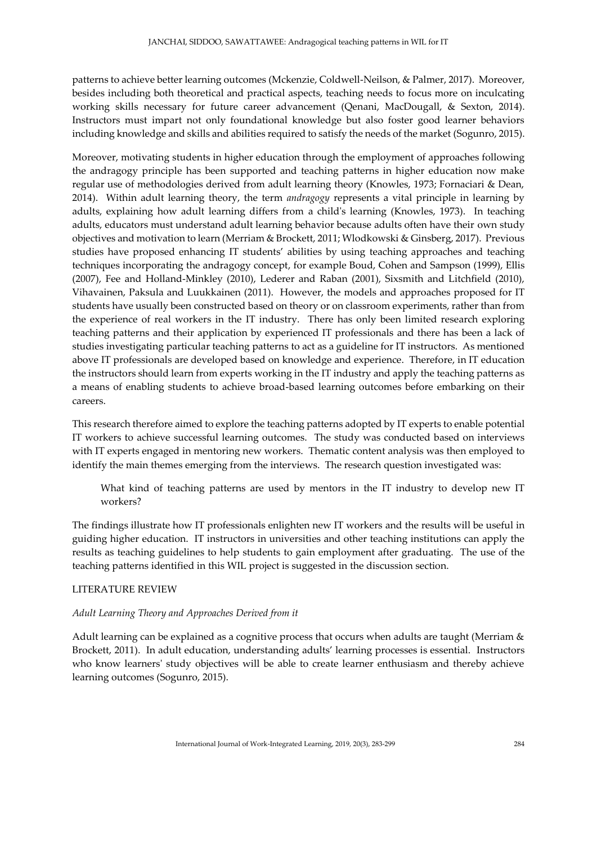patterns to achieve better learning outcomes (Mckenzie, Coldwell-Neilson, & Palmer, 2017). Moreover, besides including both theoretical and practical aspects, teaching needs to focus more on inculcating working skills necessary for future career advancement (Qenani, MacDougall, & Sexton, 2014). Instructors must impart not only foundational knowledge but also foster good learner behaviors including knowledge and skills and abilities required to satisfy the needs of the market (Sogunro, 2015).

Moreover, motivating students in higher education through the employment of approaches following the andragogy principle has been supported and teaching patterns in higher education now make regular use of methodologies derived from adult learning theory (Knowles, 1973; Fornaciari & Dean, 2014). Within adult learning theory, the term *andragogy* represents a vital principle in learning by adults, explaining how adult learning differs from a child's learning (Knowles, 1973). In teaching adults, educators must understand adult learning behavior because adults often have their own study objectives and motivation to learn (Merriam & Brockett, 2011; Wlodkowski & Ginsberg, 2017). Previous studies have proposed enhancing IT students' abilities by using teaching approaches and teaching techniques incorporating the andragogy concept, for example Boud, Cohen and Sampson (1999), Ellis (2007), Fee and Holland-Minkley (2010), Lederer and Raban (2001), Sixsmith and Litchfield (2010), Vihavainen, Paksula and Luukkainen (2011). However, the models and approaches proposed for IT students have usually been constructed based on theory or on classroom experiments, rather than from the experience of real workers in the IT industry. There has only been limited research exploring teaching patterns and their application by experienced IT professionals and there has been a lack of studies investigating particular teaching patterns to act as a guideline for IT instructors. As mentioned above IT professionals are developed based on knowledge and experience. Therefore, in IT education the instructors should learn from experts working in the IT industry and apply the teaching patterns as a means of enabling students to achieve broad-based learning outcomes before embarking on their careers.

This research therefore aimed to explore the teaching patterns adopted by IT experts to enable potential IT workers to achieve successful learning outcomes. The study was conducted based on interviews with IT experts engaged in mentoring new workers. Thematic content analysis was then employed to identify the main themes emerging from the interviews. The research question investigated was:

What kind of teaching patterns are used by mentors in the IT industry to develop new IT workers?

The findings illustrate how IT professionals enlighten new IT workers and the results will be useful in guiding higher education. IT instructors in universities and other teaching institutions can apply the results as teaching guidelines to help students to gain employment after graduating. The use of the teaching patterns identified in this WIL project is suggested in the discussion section.

# LITERATURE REVIEW

#### *Adult Learning Theory and Approaches Derived from it*

Adult learning can be explained as a cognitive process that occurs when adults are taught (Merriam & Brockett, 2011). In adult education, understanding adults' learning processes is essential. Instructors who know learners' study objectives will be able to create learner enthusiasm and thereby achieve learning outcomes (Sogunro, 2015).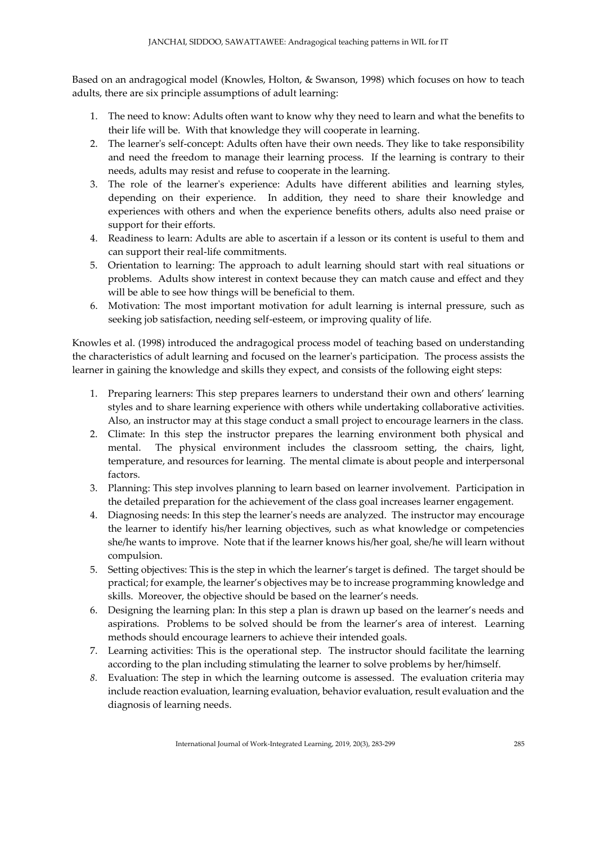Based on an andragogical model (Knowles, Holton, & Swanson, 1998) which focuses on how to teach adults, there are six principle assumptions of adult learning:

- 1. The need to know: Adults often want to know why they need to learn and what the benefits to their life will be. With that knowledge they will cooperate in learning.
- 2. The learner's self-concept: Adults often have their own needs. They like to take responsibility and need the freedom to manage their learning process. If the learning is contrary to their needs, adults may resist and refuse to cooperate in the learning.
- 3. The role of the learner's experience: Adults have different abilities and learning styles, depending on their experience. In addition, they need to share their knowledge and experiences with others and when the experience benefits others, adults also need praise or support for their efforts.
- 4. Readiness to learn: Adults are able to ascertain if a lesson or its content is useful to them and can support their real-life commitments.
- 5. Orientation to learning: The approach to adult learning should start with real situations or problems. Adults show interest in context because they can match cause and effect and they will be able to see how things will be beneficial to them.
- 6. Motivation: The most important motivation for adult learning is internal pressure, such as seeking job satisfaction, needing self-esteem, or improving quality of life.

Knowles et al. (1998) introduced the andragogical process model of teaching based on understanding the characteristics of adult learning and focused on the learner's participation. The process assists the learner in gaining the knowledge and skills they expect, and consists of the following eight steps:

- 1. Preparing learners: This step prepares learners to understand their own and others' learning styles and to share learning experience with others while undertaking collaborative activities. Also, an instructor may at this stage conduct a small project to encourage learners in the class.
- 2. Climate: In this step the instructor prepares the learning environment both physical and mental. The physical environment includes the classroom setting, the chairs, light, temperature, and resources for learning. The mental climate is about people and interpersonal factors.
- 3. Planning: This step involves planning to learn based on learner involvement. Participation in the detailed preparation for the achievement of the class goal increases learner engagement.
- 4. Diagnosing needs: In this step the learner's needs are analyzed. The instructor may encourage the learner to identify his/her learning objectives, such as what knowledge or competencies she/he wants to improve. Note that if the learner knows his/her goal, she/he will learn without compulsion.
- 5. Setting objectives: This is the step in which the learner's target is defined. The target should be practical; for example, the learner's objectives may be to increase programming knowledge and skills. Moreover, the objective should be based on the learner's needs.
- 6. Designing the learning plan: In this step a plan is drawn up based on the learner's needs and aspirations. Problems to be solved should be from the learner's area of interest. Learning methods should encourage learners to achieve their intended goals.
- 7. Learning activities: This is the operational step. The instructor should facilitate the learning according to the plan including stimulating the learner to solve problems by her/himself.
- *8.* Evaluation: The step in which the learning outcome is assessed. The evaluation criteria may include reaction evaluation, learning evaluation, behavior evaluation, result evaluation and the diagnosis of learning needs.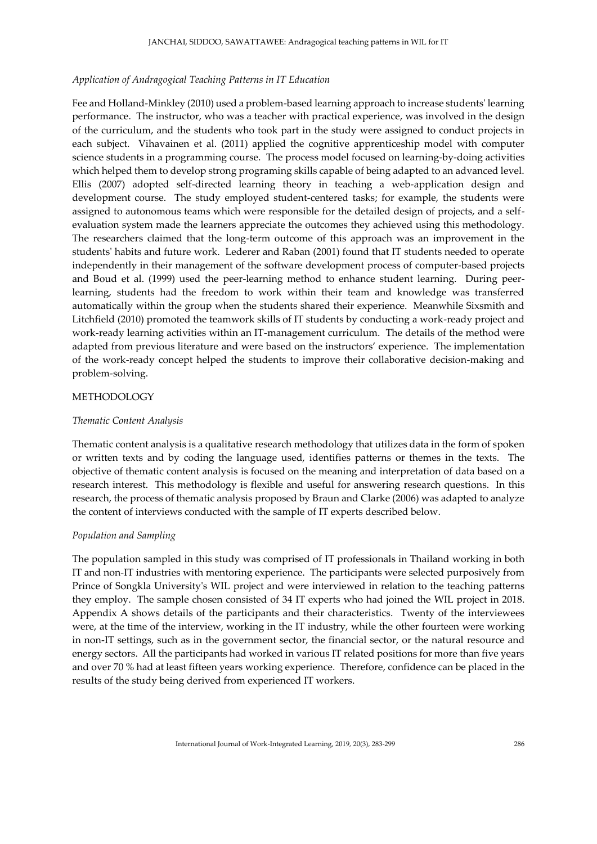## *Application of Andragogical Teaching Patterns in IT Education*

Fee and Holland-Minkley (2010) used a problem-based learning approach to increase students' learning performance. The instructor, who was a teacher with practical experience, was involved in the design of the curriculum, and the students who took part in the study were assigned to conduct projects in each subject. Vihavainen et al. (2011) applied the cognitive apprenticeship model with computer science students in a programming course. The process model focused on learning-by-doing activities which helped them to develop strong programing skills capable of being adapted to an advanced level. Ellis (2007) adopted self-directed learning theory in teaching a web-application design and development course. The study employed student-centered tasks; for example, the students were assigned to autonomous teams which were responsible for the detailed design of projects, and a selfevaluation system made the learners appreciate the outcomes they achieved using this methodology. The researchers claimed that the long-term outcome of this approach was an improvement in the students' habits and future work. Lederer and Raban (2001) found that IT students needed to operate independently in their management of the software development process of computer-based projects and Boud et al. (1999) used the peer-learning method to enhance student learning. During peerlearning, students had the freedom to work within their team and knowledge was transferred automatically within the group when the students shared their experience. Meanwhile Sixsmith and Litchfield (2010) promoted the teamwork skills of IT students by conducting a work-ready project and work-ready learning activities within an IT-management curriculum. The details of the method were adapted from previous literature and were based on the instructors' experience. The implementation of the work-ready concept helped the students to improve their collaborative decision-making and problem-solving.

## METHODOLOGY

#### *Thematic Content Analysis*

Thematic content analysis is a qualitative research methodology that utilizes data in the form of spoken or written texts and by coding the language used, identifies patterns or themes in the texts. The objective of thematic content analysis is focused on the meaning and interpretation of data based on a research interest. This methodology is flexible and useful for answering research questions. In this research, the process of thematic analysis proposed by Braun and Clarke (2006) was adapted to analyze the content of interviews conducted with the sample of IT experts described below.

#### *Population and Sampling*

The population sampled in this study was comprised of IT professionals in Thailand working in both IT and non-IT industries with mentoring experience. The participants were selected purposively from Prince of Songkla University's WIL project and were interviewed in relation to the teaching patterns they employ. The sample chosen consisted of 34 IT experts who had joined the WIL project in 2018. Appendix A shows details of the participants and their characteristics. Twenty of the interviewees were, at the time of the interview, working in the IT industry, while the other fourteen were working in non-IT settings, such as in the government sector, the financial sector, or the natural resource and energy sectors. All the participants had worked in various IT related positions for more than five years and over 70 % had at least fifteen years working experience. Therefore, confidence can be placed in the results of the study being derived from experienced IT workers.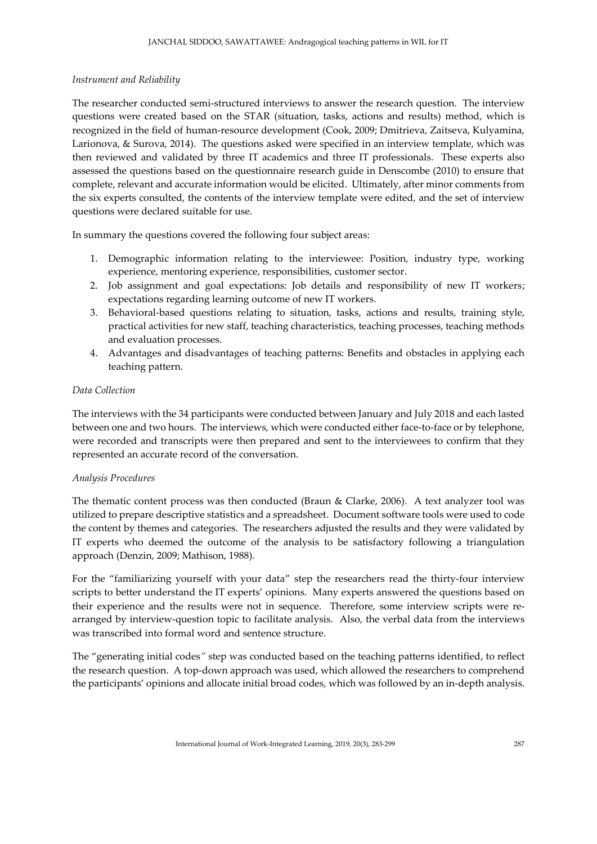# *Instrument and Reliability*

The researcher conducted semi-structured interviews to answer the research question. The interview questions were created based on the STAR (situation, tasks, actions and results) method, which is recognized in the field of human-resource development (Cook, 2009; Dmitrieva, Zaitseva, Kulyamina, Larionova, & Surova, 2014). The questions asked were specified in an interview template, which was then reviewed and validated by three IT academics and three IT professionals. These experts also assessed the questions based on the questionnaire research guide in Denscombe (2010) to ensure that complete, relevant and accurate information would be elicited. Ultimately, after minor comments from the six experts consulted, the contents of the interview template were edited, and the set of interview questions were declared suitable for use.

In summary the questions covered the following four subject areas:

- 1. Demographic information relating to the interviewee: Position, industry type, working experience, mentoring experience, responsibilities, customer sector.
- 2. Job assignment and goal expectations: Job details and responsibility of new IT workers; expectations regarding learning outcome of new IT workers.
- 3. Behavioral-based questions relating to situation, tasks, actions and results, training style, practical activities for new staff, teaching characteristics, teaching processes, teaching methods and evaluation processes.
- 4. Advantages and disadvantages of teaching patterns: Benefits and obstacles in applying each teaching pattern.

## *Data Collection*

The interviews with the 34 participants were conducted between January and July 2018 and each lasted between one and two hours. The interviews, which were conducted either face-to-face or by telephone, were recorded and transcripts were then prepared and sent to the interviewees to confirm that they represented an accurate record of the conversation.

#### *Analysis Procedures*

The thematic content process was then conducted (Braun & Clarke, 2006). A text analyzer tool was utilized to prepare descriptive statistics and a spreadsheet. Document software tools were used to code the content by themes and categories. The researchers adjusted the results and they were validated by IT experts who deemed the outcome of the analysis to be satisfactory following a triangulation approach (Denzin, 2009; Mathison, 1988).

For the "familiarizing yourself with your data" step the researchers read the thirty-four interview scripts to better understand the IT experts' opinions. Many experts answered the questions based on their experience and the results were not in sequence. Therefore, some interview scripts were rearranged by interview-question topic to facilitate analysis. Also, the verbal data from the interviews was transcribed into formal word and sentence structure.

The "generating initial codes*"* step was conducted based on the teaching patterns identified, to reflect the research question. A top-down approach was used, which allowed the researchers to comprehend the participants' opinions and allocate initial broad codes, which was followed by an in-depth analysis.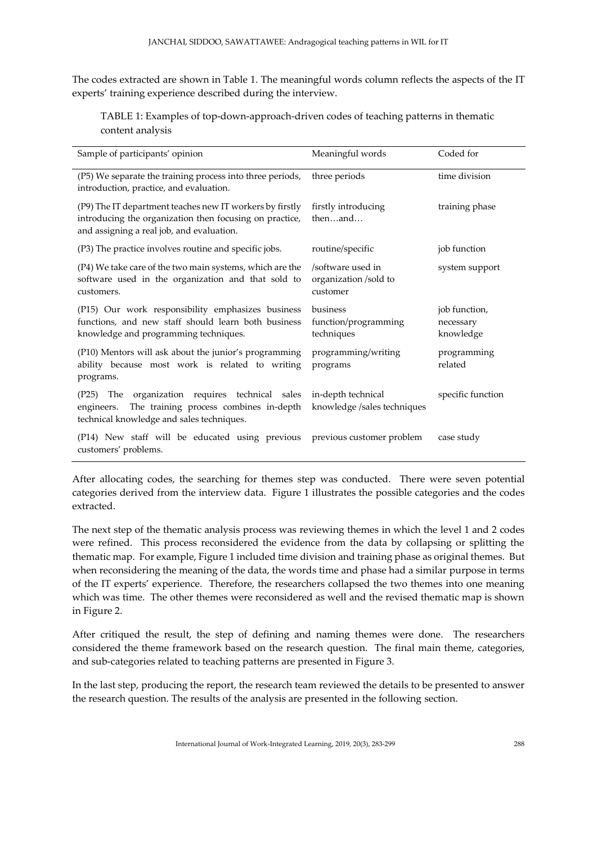The codes extracted are shown in Table 1. The meaningful words column reflects the aspects of the IT experts' training experience described during the interview.

TABLE 1: Examples of top-down-approach-driven codes of teaching patterns in thematic content analysis

| Sample of participants' opinion                                                                                                                                  | Meaningful words                                       | Coded for                               |  |
|------------------------------------------------------------------------------------------------------------------------------------------------------------------|--------------------------------------------------------|-----------------------------------------|--|
| (P5) We separate the training process into three periods,<br>introduction, practice, and evaluation.                                                             | three periods                                          | time division                           |  |
| (P9) The IT department teaches new IT workers by firstly<br>introducing the organization then focusing on practice,<br>and assigning a real job, and evaluation. | firstly introducing<br>thenand                         | training phase                          |  |
| (P3) The practice involves routine and specific jobs.                                                                                                            | routine/specific                                       | job function                            |  |
| (P4) We take care of the two main systems, which are the<br>software used in the organization and that sold to<br>customers.                                     | /software used in<br>organization /sold to<br>customer | system support                          |  |
| (P15) Our work responsibility emphasizes business<br>functions, and new staff should learn both business<br>knowledge and programming techniques.                | business<br>function/programming<br>techniques         | job function,<br>necessary<br>knowledge |  |
| (P10) Mentors will ask about the junior's programming<br>ability because most work is related to writing<br>programs.                                            | programming/writing<br>programs                        | programming<br>related                  |  |
| organization requires technical sales<br>(P25)<br>The<br>The training process combines in-depth<br>engineers.<br>technical knowledge and sales techniques.       | in-depth technical<br>knowledge /sales techniques      | specific function                       |  |
| (P14) New staff will be educated using previous<br>customers' problems.                                                                                          | previous customer problem                              | case study                              |  |

After allocating codes, the searching for themes step was conducted. There were seven potential categories derived from the interview data. Figure 1 illustrates the possible categories and the codes extracted.

The next step of the thematic analysis process was reviewing themes in which the level 1 and 2 codes were refined. This process reconsidered the evidence from the data by collapsing or splitting the thematic map. For example, Figure 1 included time division and training phase as original themes. But when reconsidering the meaning of the data, the words time and phase had a similar purpose in terms of the IT experts' experience. Therefore, the researchers collapsed the two themes into one meaning which was time. The other themes were reconsidered as well and the revised thematic map is shown in Figure 2.

After critiqued the result, the step of defining and naming themes were done. The researchers considered the theme framework based on the research question. The final main theme, categories, and sub-categories related to teaching patterns are presented in Figure 3.

In the last step, producing the report, the research team reviewed the details to be presented to answer the research question. The results of the analysis are presented in the following section.

International Journal of Work-Integrated Learning, 2019, 20(3), 283-299 288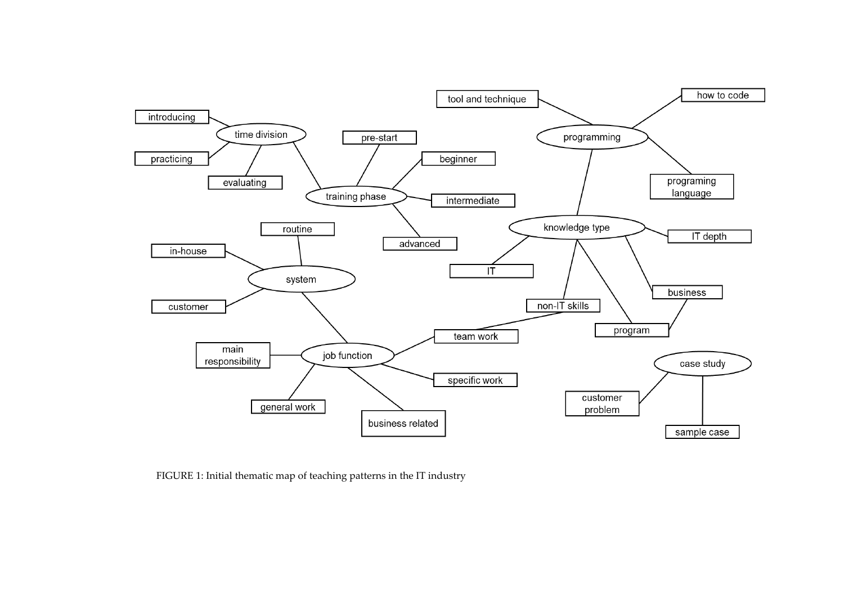

FIGURE 1: Initial thematic map of teaching patterns in the IT industry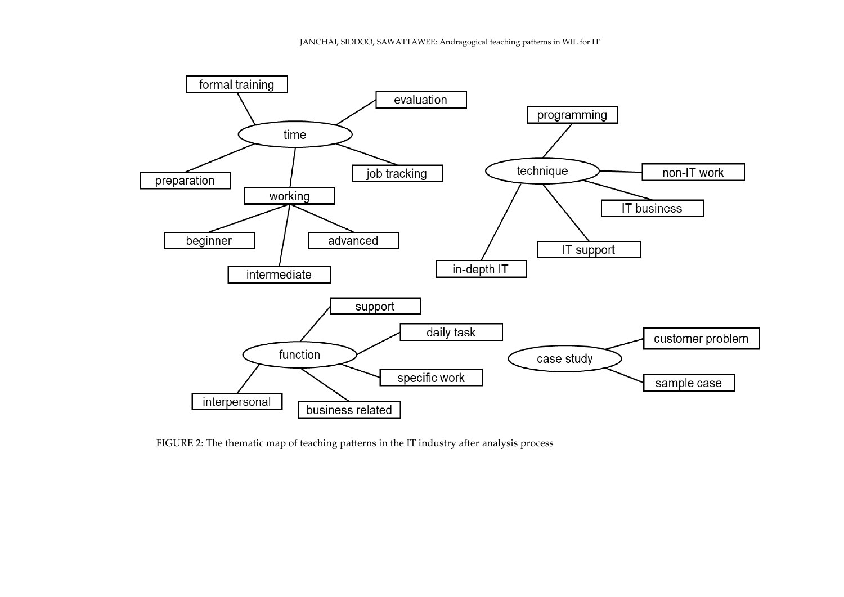

FIGURE 2: The thematic map of teaching patterns in the IT industry after analysis process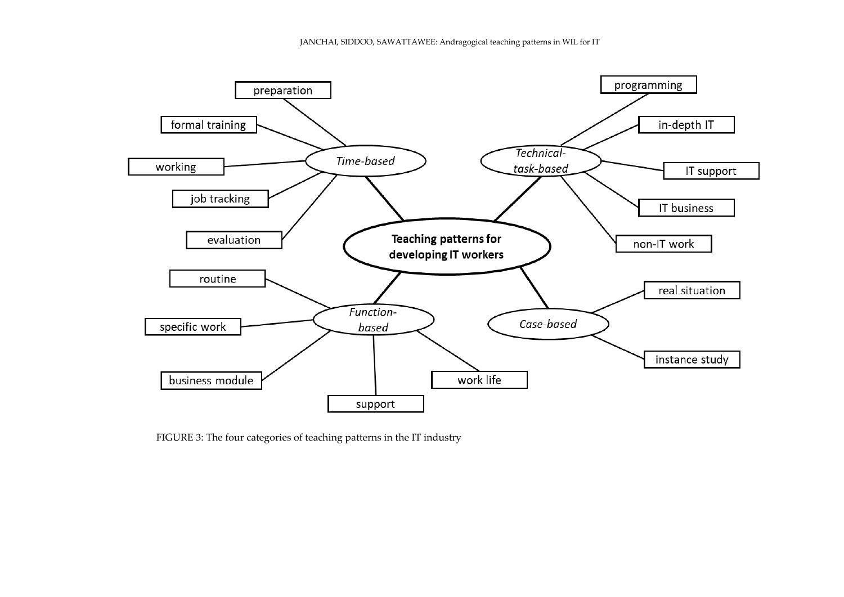

FIGURE 3: The four categories of teaching patterns in the IT industry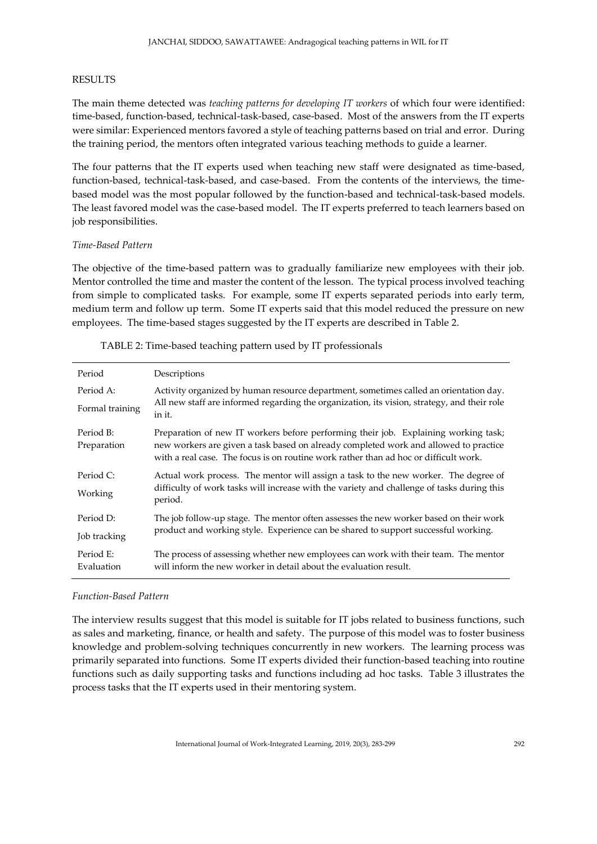# RESULTS

The main theme detected was *teaching patterns for developing IT workers* of which four were identified: time-based, function-based, technical-task-based, case-based. Most of the answers from the IT experts were similar: Experienced mentors favored a style of teaching patterns based on trial and error. During the training period, the mentors often integrated various teaching methods to guide a learner.

The four patterns that the IT experts used when teaching new staff were designated as time-based, function-based, technical-task-based, and case-based. From the contents of the interviews, the timebased model was the most popular followed by the function-based and technical-task-based models. The least favored model was the case-based model. The IT experts preferred to teach learners based on job responsibilities.

## *Time-Based Pattern*

The objective of the time-based pattern was to gradually familiarize new employees with their job. Mentor controlled the time and master the content of the lesson. The typical process involved teaching from simple to complicated tasks. For example, some IT experts separated periods into early term, medium term and follow up term. Some IT experts said that this model reduced the pressure on new employees. The time-based stages suggested by the IT experts are described in Table 2.

| Period                   | Descriptions                                                                                                                                                                                                                                                        |
|--------------------------|---------------------------------------------------------------------------------------------------------------------------------------------------------------------------------------------------------------------------------------------------------------------|
| Period A:                | Activity organized by human resource department, sometimes called an orientation day.                                                                                                                                                                               |
| Formal training          | All new staff are informed regarding the organization, its vision, strategy, and their role<br>in it.                                                                                                                                                               |
| Period B:<br>Preparation | Preparation of new IT workers before performing their job. Explaining working task;<br>new workers are given a task based on already completed work and allowed to practice<br>with a real case. The focus is on routine work rather than ad hoc or difficult work. |
| Period C:                | Actual work process. The mentor will assign a task to the new worker. The degree of                                                                                                                                                                                 |
| Working                  | difficulty of work tasks will increase with the variety and challenge of tasks during this<br>period.                                                                                                                                                               |
| Period D:                | The job follow-up stage. The mentor often assesses the new worker based on their work                                                                                                                                                                               |
| Job tracking             | product and working style. Experience can be shared to support successful working.                                                                                                                                                                                  |
| Period E:<br>Evaluation  | The process of assessing whether new employees can work with their team. The mentor<br>will inform the new worker in detail about the evaluation result.                                                                                                            |

#### TABLE 2: Time-based teaching pattern used by IT professionals

#### *Function-Based Pattern*

The interview results suggest that this model is suitable for IT jobs related to business functions, such as sales and marketing, finance, or health and safety. The purpose of this model was to foster business knowledge and problem-solving techniques concurrently in new workers. The learning process was primarily separated into functions. Some IT experts divided their function-based teaching into routine functions such as daily supporting tasks and functions including ad hoc tasks. Table 3 illustrates the process tasks that the IT experts used in their mentoring system.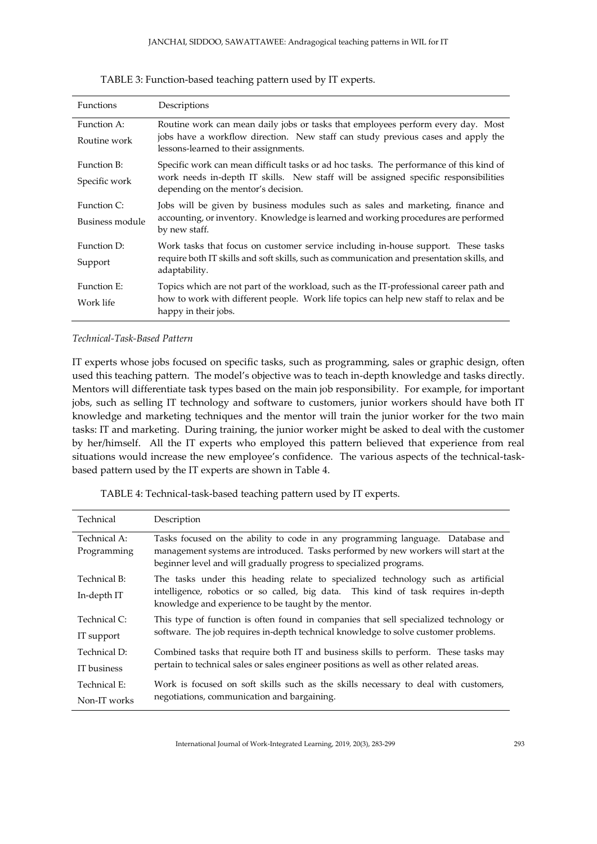| <b>Functions</b>               | Descriptions                                                                                                                                                                                                          |
|--------------------------------|-----------------------------------------------------------------------------------------------------------------------------------------------------------------------------------------------------------------------|
| Function A:<br>Routine work    | Routine work can mean daily jobs or tasks that employees perform every day. Most<br>jobs have a workflow direction. New staff can study previous cases and apply the<br>lessons-learned to their assignments.         |
| Function B:<br>Specific work   | Specific work can mean difficult tasks or ad hoc tasks. The performance of this kind of<br>work needs in-depth IT skills. New staff will be assigned specific responsibilities<br>depending on the mentor's decision. |
| Function C:<br>Business module | Jobs will be given by business modules such as sales and marketing, finance and<br>accounting, or inventory. Knowledge is learned and working procedures are performed<br>by new staff.                               |
| Function D:<br>Support         | Work tasks that focus on customer service including in-house support. These tasks<br>require both IT skills and soft skills, such as communication and presentation skills, and<br>adaptability.                      |
| Function E:<br>Work life       | Topics which are not part of the workload, such as the IT-professional career path and<br>how to work with different people. Work life topics can help new staff to relax and be<br>happy in their jobs.              |

TABLE 3: Function-based teaching pattern used by IT experts.

# *Technical-Task-Based Pattern*

IT experts whose jobs focused on specific tasks, such as programming, sales or graphic design, often used this teaching pattern. The model's objective was to teach in-depth knowledge and tasks directly. Mentors will differentiate task types based on the main job responsibility. For example, for important jobs, such as selling IT technology and software to customers, junior workers should have both IT knowledge and marketing techniques and the mentor will train the junior worker for the two main tasks: IT and marketing. During training, the junior worker might be asked to deal with the customer by her/himself. All the IT experts who employed this pattern believed that experience from real situations would increase the new employee's confidence. The various aspects of the technical-taskbased pattern used by the IT experts are shown in Table 4.

| Technical                   | Description                                                                                                                                                                                                                                  |  |  |  |
|-----------------------------|----------------------------------------------------------------------------------------------------------------------------------------------------------------------------------------------------------------------------------------------|--|--|--|
| Technical A:<br>Programming | Tasks focused on the ability to code in any programming language. Database and<br>management systems are introduced. Tasks performed by new workers will start at the<br>beginner level and will gradually progress to specialized programs. |  |  |  |
| Technical B:<br>In-depth IT | The tasks under this heading relate to specialized technology such as artificial<br>intelligence, robotics or so called, big data. This kind of task requires in-depth<br>knowledge and experience to be taught by the mentor.               |  |  |  |
| Technical C:<br>IT support  | This type of function is often found in companies that sell specialized technology or<br>software. The job requires in-depth technical knowledge to solve customer problems.                                                                 |  |  |  |
| Technical D:                | Combined tasks that require both IT and business skills to perform. These tasks may<br>pertain to technical sales or sales engineer positions as well as other related areas.                                                                |  |  |  |
| IT business                 |                                                                                                                                                                                                                                              |  |  |  |
| Technical E:                | Work is focused on soft skills such as the skills necessary to deal with customers,<br>negotiations, communication and bargaining.                                                                                                           |  |  |  |
| Non-IT works                |                                                                                                                                                                                                                                              |  |  |  |

TABLE 4: Technical-task-based teaching pattern used by IT experts.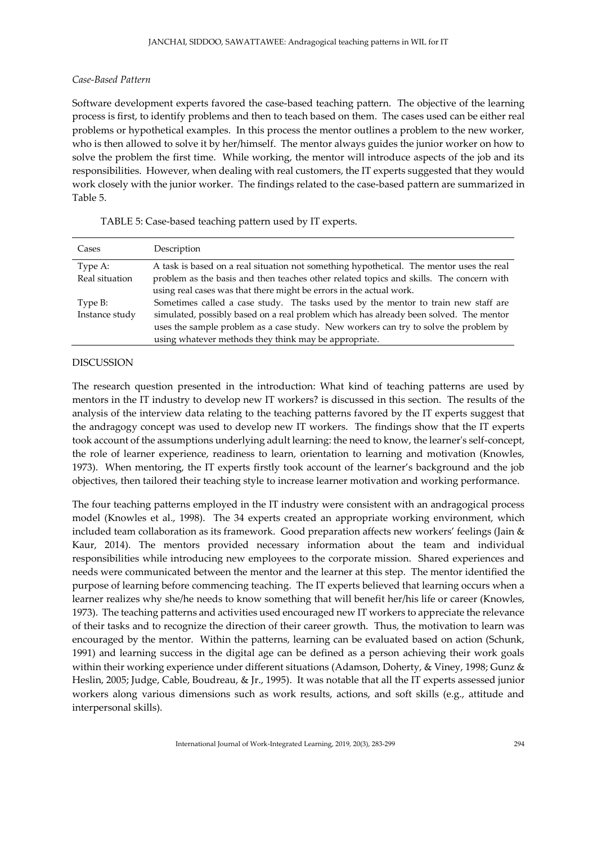# *Case-Based Pattern*

Software development experts favored the case-based teaching pattern. The objective of the learning process is first, to identify problems and then to teach based on them. The cases used can be either real problems or hypothetical examples. In this process the mentor outlines a problem to the new worker, who is then allowed to solve it by her/himself. The mentor always guides the junior worker on how to solve the problem the first time. While working, the mentor will introduce aspects of the job and its responsibilities. However, when dealing with real customers, the IT experts suggested that they would work closely with the junior worker. The findings related to the case-based pattern are summarized in Table 5.

| Cases          | Description                                                                              |  |  |  |
|----------------|------------------------------------------------------------------------------------------|--|--|--|
| Type A:        | A task is based on a real situation not something hypothetical. The mentor uses the real |  |  |  |
| Real situation | problem as the basis and then teaches other related topics and skills. The concern with  |  |  |  |
|                | using real cases was that there might be errors in the actual work.                      |  |  |  |
| Type B:        | Sometimes called a case study. The tasks used by the mentor to train new staff are       |  |  |  |
| Instance study | simulated, possibly based on a real problem which has already been solved. The mentor    |  |  |  |
|                | uses the sample problem as a case study. New workers can try to solve the problem by     |  |  |  |
|                | using whatever methods they think may be appropriate.                                    |  |  |  |

TABLE 5: Case-based teaching pattern used by IT experts.

# DISCUSSION

The research question presented in the introduction: What kind of teaching patterns are used by mentors in the IT industry to develop new IT workers? is discussed in this section. The results of the analysis of the interview data relating to the teaching patterns favored by the IT experts suggest that the andragogy concept was used to develop new IT workers. The findings show that the IT experts took account of the assumptions underlying adult learning: the need to know, the learner's self-concept, the role of learner experience, readiness to learn, orientation to learning and motivation (Knowles, 1973). When mentoring, the IT experts firstly took account of the learner's background and the job objectives, then tailored their teaching style to increase learner motivation and working performance.

The four teaching patterns employed in the IT industry were consistent with an andragogical process model (Knowles et al., 1998). The 34 experts created an appropriate working environment, which included team collaboration as its framework. Good preparation affects new workers' feelings (Jain & Kaur, 2014). The mentors provided necessary information about the team and individual responsibilities while introducing new employees to the corporate mission. Shared experiences and needs were communicated between the mentor and the learner at this step. The mentor identified the purpose of learning before commencing teaching. The IT experts believed that learning occurs when a learner realizes why she/he needs to know something that will benefit her/his life or career (Knowles, 1973). The teaching patterns and activities used encouraged new IT workers to appreciate the relevance of their tasks and to recognize the direction of their career growth. Thus, the motivation to learn was encouraged by the mentor. Within the patterns, learning can be evaluated based on action (Schunk, 1991) and learning success in the digital age can be defined as a person achieving their work goals within their working experience under different situations (Adamson, Doherty, & Viney, 1998; Gunz & Heslin, 2005; Judge, Cable, Boudreau, & Jr., 1995). It was notable that all the IT experts assessed junior workers along various dimensions such as work results, actions, and soft skills (e.g., attitude and interpersonal skills).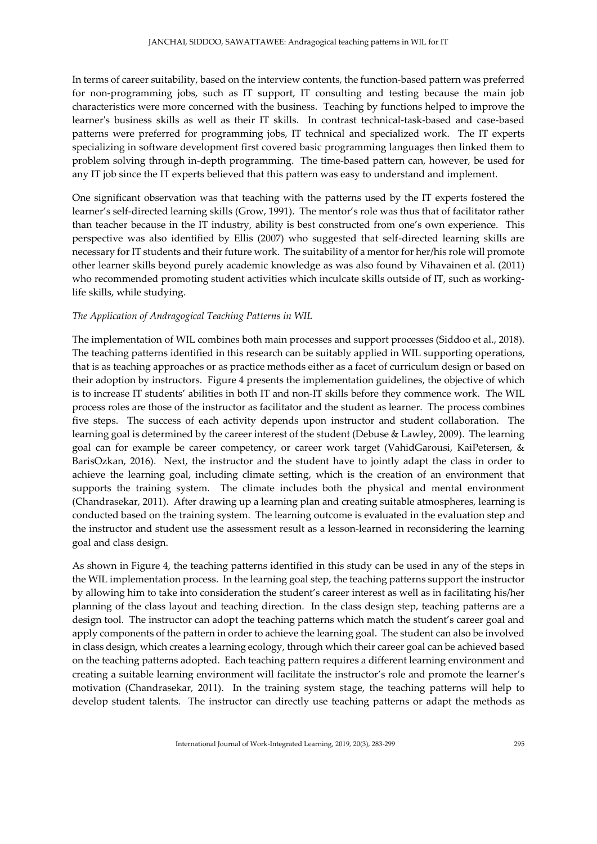In terms of career suitability, based on the interview contents, the function-based pattern was preferred for non-programming jobs, such as IT support, IT consulting and testing because the main job characteristics were more concerned with the business. Teaching by functions helped to improve the learner's business skills as well as their IT skills. In contrast technical-task-based and case-based patterns were preferred for programming jobs, IT technical and specialized work. The IT experts specializing in software development first covered basic programming languages then linked them to problem solving through in-depth programming. The time-based pattern can, however, be used for any IT job since the IT experts believed that this pattern was easy to understand and implement.

One significant observation was that teaching with the patterns used by the IT experts fostered the learner's self-directed learning skills (Grow, 1991). The mentor's role was thus that of facilitator rather than teacher because in the IT industry, ability is best constructed from one's own experience. This perspective was also identified by Ellis (2007) who suggested that self-directed learning skills are necessary for IT students and their future work. The suitability of a mentor for her/his role will promote other learner skills beyond purely academic knowledge as was also found by Vihavainen et al. (2011) who recommended promoting student activities which inculcate skills outside of IT, such as workinglife skills, while studying.

# *The Application of Andragogical Teaching Patterns in WIL*

The implementation of WIL combines both main processes and support processes (Siddoo et al., 2018). The teaching patterns identified in this research can be suitably applied in WIL supporting operations, that is as teaching approaches or as practice methods either as a facet of curriculum design or based on their adoption by instructors. Figure 4 presents the implementation guidelines, the objective of which is to increase IT students' abilities in both IT and non-IT skills before they commence work. The WIL process roles are those of the instructor as facilitator and the student as learner. The process combines five steps. The success of each activity depends upon instructor and student collaboration. The learning goal is determined by the career interest of the student (Debuse & Lawley, 2009). The learning goal can for example be career competency, or career work target (VahidGarousi, KaiPetersen, & BarisOzkan, 2016). Next, the instructor and the student have to jointly adapt the class in order to achieve the learning goal, including climate setting, which is the creation of an environment that supports the training system. The climate includes both the physical and mental environment (Chandrasekar, 2011). After drawing up a learning plan and creating suitable atmospheres, learning is conducted based on the training system. The learning outcome is evaluated in the evaluation step and the instructor and student use the assessment result as a lesson-learned in reconsidering the learning goal and class design.

As shown in Figure 4, the teaching patterns identified in this study can be used in any of the steps in the WIL implementation process. In the learning goal step, the teaching patterns support the instructor by allowing him to take into consideration the student's career interest as well as in facilitating his/her planning of the class layout and teaching direction. In the class design step, teaching patterns are a design tool. The instructor can adopt the teaching patterns which match the student's career goal and apply components of the pattern in order to achieve the learning goal. The student can also be involved in class design, which creates a learning ecology, through which their career goal can be achieved based on the teaching patterns adopted. Each teaching pattern requires a different learning environment and creating a suitable learning environment will facilitate the instructor's role and promote the learner's motivation (Chandrasekar, 2011). In the training system stage, the teaching patterns will help to develop student talents. The instructor can directly use teaching patterns or adapt the methods as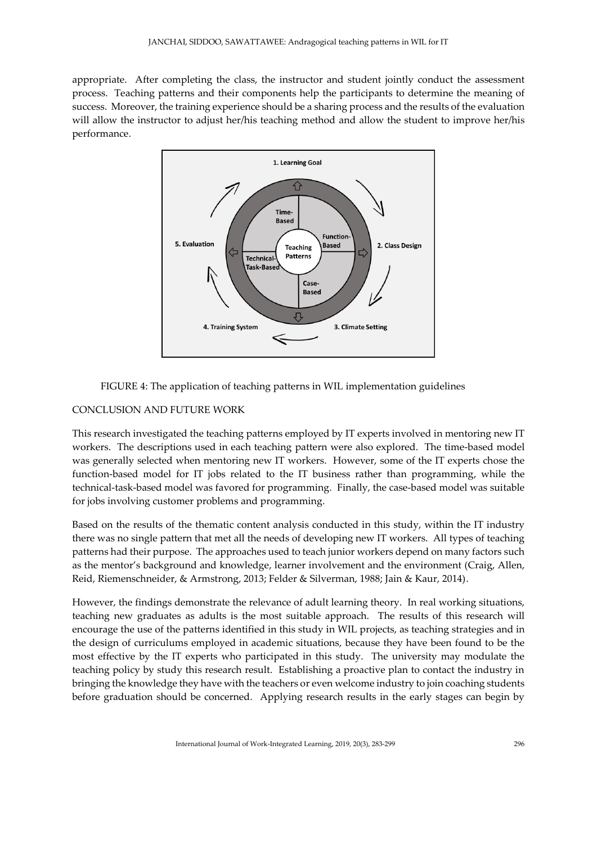appropriate. After completing the class, the instructor and student jointly conduct the assessment process. Teaching patterns and their components help the participants to determine the meaning of success. Moreover, the training experience should be a sharing process and the results of the evaluation will allow the instructor to adjust her/his teaching method and allow the student to improve her/his performance.





# CONCLUSION AND FUTURE WORK

This research investigated the teaching patterns employed by IT experts involved in mentoring new IT workers. The descriptions used in each teaching pattern were also explored. The time-based model was generally selected when mentoring new IT workers. However, some of the IT experts chose the function-based model for IT jobs related to the IT business rather than programming, while the technical-task-based model was favored for programming. Finally, the case-based model was suitable for jobs involving customer problems and programming.

Based on the results of the thematic content analysis conducted in this study, within the IT industry there was no single pattern that met all the needs of developing new IT workers. All types of teaching patterns had their purpose. The approaches used to teach junior workers depend on many factors such as the mentor's background and knowledge, learner involvement and the environment (Craig, Allen, Reid, Riemenschneider, & Armstrong, 2013; Felder & Silverman, 1988; Jain & Kaur, 2014).

However, the findings demonstrate the relevance of adult learning theory. In real working situations, teaching new graduates as adults is the most suitable approach. The results of this research will encourage the use of the patterns identified in this study in WIL projects, as teaching strategies and in the design of curriculums employed in academic situations, because they have been found to be the most effective by the IT experts who participated in this study. The university may modulate the teaching policy by study this research result. Establishing a proactive plan to contact the industry in bringing the knowledge they have with the teachers or even welcome industry to join coaching students before graduation should be concerned. Applying research results in the early stages can begin by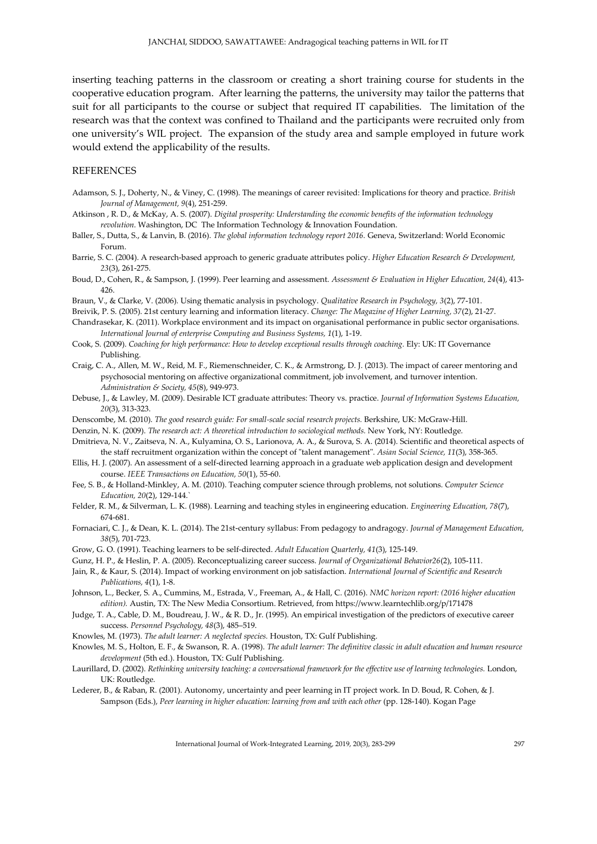inserting teaching patterns in the classroom or creating a short training course for students in the cooperative education program. After learning the patterns, the university may tailor the patterns that suit for all participants to the course or subject that required IT capabilities. The limitation of the research was that the context was confined to Thailand and the participants were recruited only from one university's WIL project. The expansion of the study area and sample employed in future work would extend the applicability of the results.

## REFERENCES

- Adamson, S. J., Doherty, N., & Viney, C. (1998). The meanings of career revisited: Implications for theory and practice. *British Journal of Management, 9*(4), 251-259.
- Atkinson , R. D., & McKay, A. S. (2007). *Digital prosperity: Understanding the economic benefits of the information technology revolution*. Washington, DC The Information Technology & Innovation Foundation.
- Baller, S., Dutta, S., & Lanvin, B. (2016). *The global information technology report 2016.* Geneva, Switzerland: World Economic Forum.
- Barrie, S. C. (2004). A research‐based approach to generic graduate attributes policy. *Higher Education Research & Development, 23*(3), 261-275.
- Boud, D., Cohen, R., & Sampson, J. (1999). Peer learning and assessment. *Assessment & Evaluation in Higher Education, 24*(4), 413- 426.
- Braun, V., & Clarke, V. (2006). Using thematic analysis in psychology. *Qualitative Research in Psychology, 3*(2), 77-101.
- Breivik, P. S. (2005). 21st century learning and information literacy. *Change: The Magazine of Higher Learning, 37*(2), 21-27.
- Chandrasekar, K. (2011). Workplace environment and its impact on organisational performance in public sector organisations. *International Journal of enterprise Computing and Business Systems, 1*(1), 1-19.
- Cook, S. (2009). *Coaching for high performance: How to develop exceptional results through coaching.* Ely: UK: IT Governance Publishing.
- Craig, C. A., Allen, M. W., Reid, M. F., Riemenschneider, C. K., & Armstrong, D. J. (2013). The impact of career mentoring and psychosocial mentoring on affective organizational commitment, job involvement, and turnover intention. *Administration & Society, 45*(8), 949-973.
- Debuse, J., & Lawley, M. (2009). Desirable ICT graduate attributes: Theory vs. practice. *Journal of Information Systems Education, 20*(3), 313-323.
- Denscombe, M. (2010). *The good research guide: For small-scale social research projects.* Berkshire, UK: McGraw-Hill.
- Denzin, N. K. (2009). *The research act: A theoretical introduction to sociological methods.* New York, NY: Routledge.
- Dmitrieva, N. V., Zaitseva, N. A., Kulyamina, O. S., Larionova, A. A., & Surova, S. A. (2014). Scientific and theoretical aspects of the staff recruitment organization within the concept of "talent management". *Asian Social Science, 11*(3), 358-365.
- Ellis, H. J. (2007). An assessment of a self-directed learning approach in a graduate web application design and development course. *IEEE Transactions on Education, 50*(1), 55-60.
- Fee, S. B., & Holland-Minkley, A. M. (2010). Teaching computer science through problems, not solutions. *Computer Science Education, 20*(2), 129-144.`
- Felder, R. M., & Silverman, L. K. (1988). Learning and teaching styles in engineering education. *Engineering Education, 78*(7), 674-681.
- Fornaciari, C. J., & Dean, K. L. (2014). The 21st-century syllabus: From pedagogy to andragogy. *Journal of Management Education, 38*(5), 701-723.
- Grow, G. O. (1991). Teaching learners to be self-directed. *Adult Education Quarterly, 41*(3), 125-149.
- Gunz, H. P., & Heslin, P. A. (2005). Reconceptualizing career success. *Journal of Organizational Behavior26*(2), 105-111.
- Jain, R., & Kaur, S. (2014). Impact of working environment on job satisfaction. *International Journal of Scientific and Research Publications, 4*(1), 1-8.
- Johnson, L., Becker, S. A., Cummins, M., Estrada, V., Freeman, A., & Hall, C. (2016). *NMC horizon report: (2016 higher education edition).* Austin, TX: The New Media Consortium. Retrieved, from https://www.learntechlib.org/p/171478
- Judge, T. A., Cable, D. M., Boudreau, J. W., & R. D., Jr. (1995). An empirical investigation of the predictors of executive career success. *Personnel Psychology, 48*(3), 485–519.
- Knowles, M. (1973). *The adult learner: A neglected species.* Houston, TX: Gulf Publishing.
- Knowles, M. S., Holton, E. F., & Swanson, R. A. (1998). *The adult learner: The definitive classic in adult education and human resource development* (5th ed.). Houston, TX: Gulf Publishing.
- Laurillard, D. (2002). *Rethinking university teaching: a conversational framework for the effective use of learning technologies.* London, UK: Routledge.
- Lederer, B., & Raban, R. (2001). Autonomy, uncertainty and peer learning in IT project work. In D. Boud, R. Cohen, & J. Sampson (Eds.), *Peer learning in higher education: learning from and with each other* (pp. 128-140). Kogan Page

International Journal of Work-Integrated Learning, 2019, 20(3), 283-299 297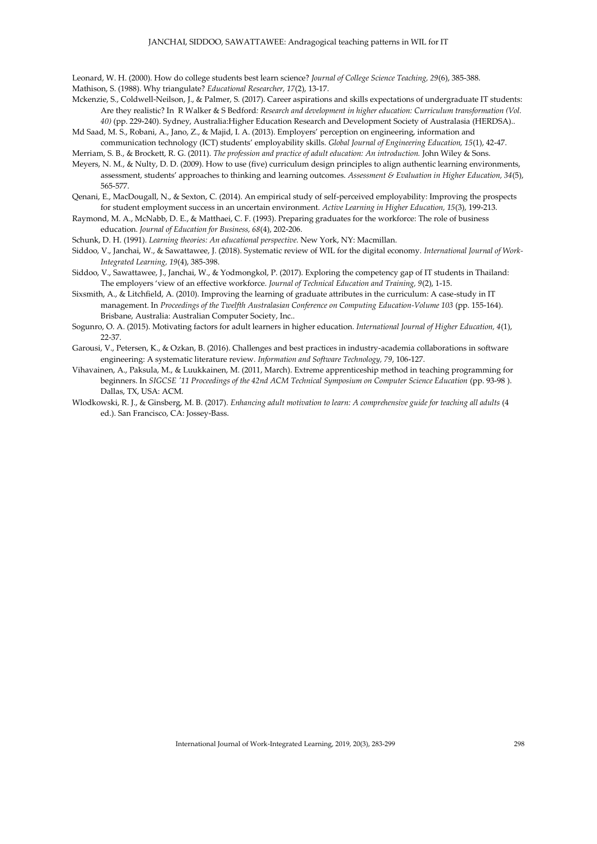Leonard, W. H. (2000). How do college students best learn science? *Journal of College Science Teaching, 29*(6), 385-388. Mathison, S. (1988). Why triangulate? *Educational Researcher, 17*(2), 13-17.

- Mckenzie, S., Coldwell-Neilson, J., & Palmer, S. (2017). Career aspirations and skills expectations of undergraduate IT students: Are they realistic? In R Walker & S Bedford*: Research and development in higher education: Curriculum transformation (Vol. 40)* (pp. 229-240). Sydney, Australia:Higher Education Research and Development Society of Australasia (HERDSA)..
- Md Saad, M. S., Robani, A., Jano, Z., & Majid, I. A. (2013). Employers' perception on engineering, information and communication technology (ICT) students' employability skills. *Global Journal of Engineering Education, 15*(1), 42-47.
- Merriam, S. B., & Brockett, R. G. (2011). *The profession and practice of adult education: An introduction.* John Wiley & Sons. Meyers, N. M., & Nulty, D. D. (2009). How to use (five) curriculum design principles to align authentic learning environments,
- assessment, students' approaches to thinking and learning outcomes. *Assessment & Evaluation in Higher Education, 34*(5), 565-577.
- Qenani, E., MacDougall, N., & Sexton, C. (2014). An empirical study of self-perceived employability: Improving the prospects for student employment success in an uncertain environment. *Active Learning in Higher Education, 15*(3), 199-213.
- Raymond, M. A., McNabb, D. E., & Matthaei, C. F. (1993). Preparing graduates for the workforce: The role of business education. *Journal of Education for Business, 68*(4), 202-206.
- Schunk, D. H. (1991). *Learning theories: An educational perspective.* New York, NY: Macmillan.
- Siddoo, V., Janchai, W., & Sawattawee, J. (2018). Systematic review of WIL for the digital economy. *International Journal of Work-Integrated Learning, 19*(4), 385-398.
- Siddoo, V., Sawattawee, J., Janchai, W., & Yodmongkol, P. (2017). Exploring the competency gap of IT students in Thailand: The employers 'view of an effective workforce. *Journal of Technical Education and Training, 9*(2), 1-15.
- Sixsmith, A., & Litchfield, A. (2010). Improving the learning of graduate attributes in the curriculum: A case-study in IT management. In *Proceedings of the Twelfth Australasian Conference on Computing Education-Volume 103* (pp. 155-164). Brisbane, Australia: Australian Computer Society, Inc..
- Sogunro, O. A. (2015). Motivating factors for adult learners in higher education. *International Journal of Higher Education, 4*(1), 22-37.
- Garousi, V., Petersen, K., & Ozkan, B. (2016). Challenges and best practices in industry-academia collaborations in software engineering: A systematic literature review. *Information and Software Technology, 79*, 106-127.
- Vihavainen, A., Paksula, M., & Luukkainen, M. (2011, March). Extreme apprenticeship method in teaching programming for beginners. In *SIGCSE '11 Proceedings of the 42nd ACM Technical Symposium on Computer Science Education* (pp. 93-98 ). Dallas, TX, USA: ACM.
- Wlodkowski, R. J., & Ginsberg, M. B. (2017). *Enhancing adult motivation to learn: A comprehensive guide for teaching all adults* (4 ed.). San Francisco, CA: Jossey-Bass.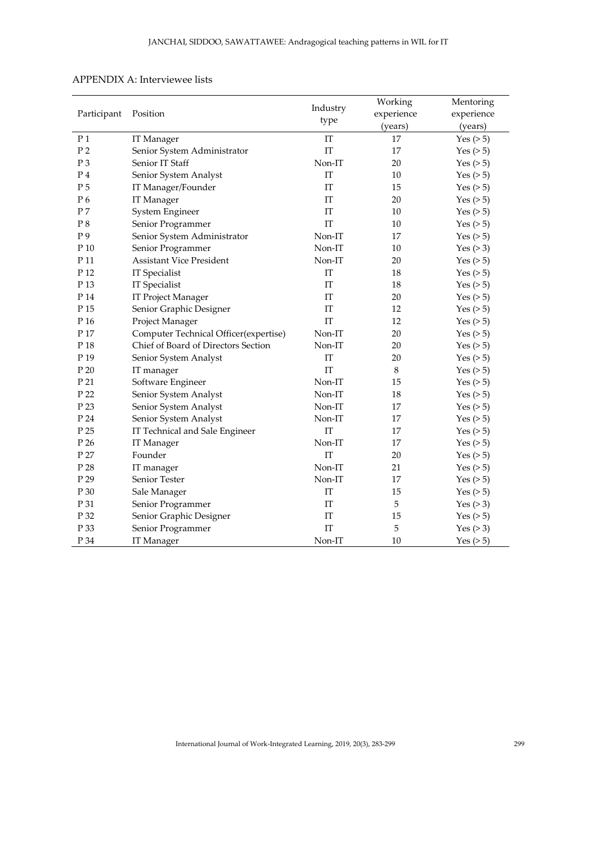| Participant     | Position                              | Industry<br>type           | Working    | Mentoring      |
|-----------------|---------------------------------------|----------------------------|------------|----------------|
|                 |                                       |                            | experience | experience     |
|                 |                                       |                            | (years)    | (years)        |
| P <sub>1</sub>  | IT Manager                            | IT                         | 17         | Yes $($ > 5)   |
| P <sub>2</sub>  | Senior System Administrator           | IT                         | 17         | Yes $($ >5 $)$ |
| P <sub>3</sub>  | Senior IT Staff                       | Non-IT                     | 20         | Yes $($ > 5)   |
| P <sub>4</sub>  | Senior System Analyst                 | IT                         | 10         | Yes $($ > 5)   |
| P <sub>5</sub>  | IT Manager/Founder                    | IT                         | 15         | Yes $($ > 5)   |
| P6              | IT Manager                            | IT                         | 20         | Yes $($ > 5)   |
| P <sub>7</sub>  | System Engineer                       | IT                         | 10         | Yes $(>5)$     |
| P8              | Senior Programmer                     | IT                         | 10         | Yes $(>5)$     |
| P <sub>9</sub>  | Senior System Administrator           | Non-IT                     | 17         | Yes $(>5)$     |
| P 10            | Senior Programmer                     | Non-IT                     | 10         | Yes $(>3)$     |
| P 11            | <b>Assistant Vice President</b>       | Non-IT                     | 20         | Yes $($ >5 $)$ |
| P 12            | IT Specialist                         | IT                         | 18         | Yes $(>5)$     |
| P 13            | IT Specialist                         | IT                         | 18         | Yes $(>5)$     |
| P 14            | <b>IT Project Manager</b>             | IT                         | 20         | Yes $(>5)$     |
| P 15            | Senior Graphic Designer               | IT                         | 12         | Yes $(>5)$     |
| P 16            | Project Manager                       | IT                         | 12         | Yes $(>5)$     |
| P 17            | Computer Technical Officer(expertise) | Non-IT                     | 20         | Yes $(>5)$     |
| P 18            | Chief of Board of Directors Section   | Non-IT                     | 20         | Yes $(>5)$     |
| P <sub>19</sub> | Senior System Analyst                 | $\ensuremath{\mathsf{IT}}$ | 20         | Yes $($ >5 $)$ |
| P 20            | IT manager                            | IT                         | 8          | Yes $($ > 5)   |
| P 21            | Software Engineer                     | Non-IT                     | 15         | Yes $($ > 5)   |
| P 22            | Senior System Analyst                 | Non-IT                     | 18         | Yes $($ >5 $)$ |
| P 23            | Senior System Analyst                 | Non-IT                     | 17         | Yes $($ >5 $)$ |
| P 24            | Senior System Analyst                 | Non-IT                     | 17         | Yes $($ >5 $)$ |
| P <sub>25</sub> | IT Technical and Sale Engineer        | IT                         | 17         | Yes $(>5)$     |
| P 26            | IT Manager                            | Non-IT                     | 17         | Yes $($ >5 $)$ |
| P 27            | Founder                               | IT                         | 20         | Yes $(>5)$     |
| P 28            | IT manager                            | Non-IT                     | 21         | Yes $($ >5 $)$ |
| P 29            | Senior Tester                         | Non-IT                     | 17         | Yes $(>5)$     |
| P 30            | Sale Manager                          | IT                         | 15         | Yes $(>5)$     |
| P 31            | Senior Programmer                     | IT                         | 5          | Yes $(>3)$     |
| P 32            | Senior Graphic Designer               | IT                         | 15         | Yes $(>5)$     |
| P 33            | Senior Programmer                     | IT                         | 5          | Yes $(>3)$     |
| P 34            | IT Manager                            | Non-IT                     | 10         | Yes $(>5)$     |

# APPENDIX A: Interviewee lists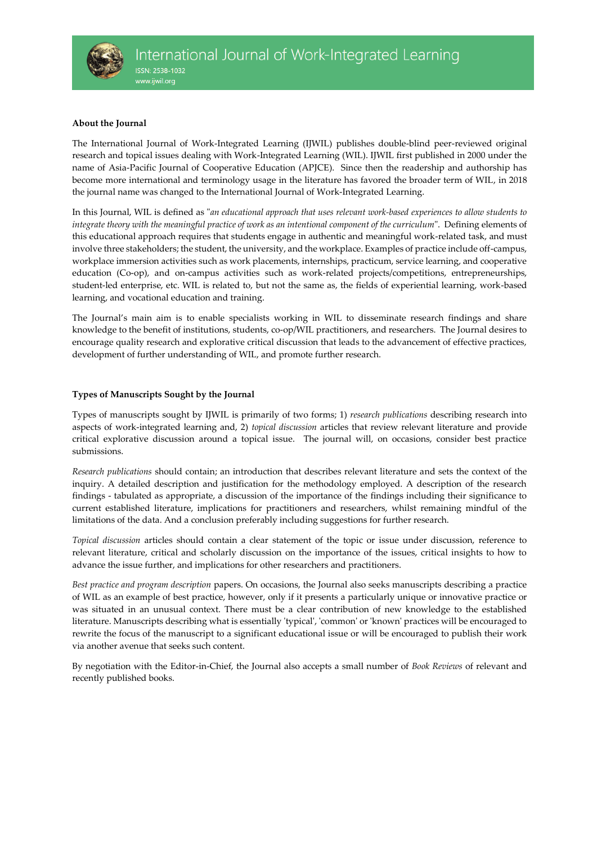

# **About the Journal**

The International Journal of Work-Integrated Learning (IJWIL) publishes double-blind peer-reviewed original research and topical issues dealing with Work-Integrated Learning (WIL). IJWIL first published in 2000 under the name of Asia-Pacific Journal of Cooperative Education (APJCE). Since then the readership and authorship has become more international and terminology usage in the literature has favored the broader term of WIL, in 2018 the journal name was changed to the International Journal of Work-Integrated Learning.

In this Journal, WIL is defined as "*an educational approach that uses relevant work-based experiences to allow students to integrate theory with the meaningful practice of work as an intentional component of the curriculum*". Defining elements of this educational approach requires that students engage in authentic and meaningful work-related task, and must involve three stakeholders; the student, the university, and the workplace. Examples of practice include off-campus, workplace immersion activities such as work placements, internships, practicum, service learning, and cooperative education (Co-op), and on-campus activities such as work-related projects/competitions, entrepreneurships, student-led enterprise, etc. WIL is related to, but not the same as, the fields of experiential learning, work-based learning, and vocational education and training.

The Journal's main aim is to enable specialists working in WIL to disseminate research findings and share knowledge to the benefit of institutions, students, co-op/WIL practitioners, and researchers. The Journal desires to encourage quality research and explorative critical discussion that leads to the advancement of effective practices, development of further understanding of WIL, and promote further research.

# **Types of Manuscripts Sought by the Journal**

Types of manuscripts sought by IJWIL is primarily of two forms; 1) *research publications* describing research into aspects of work-integrated learning and, 2) *topical discussion* articles that review relevant literature and provide critical explorative discussion around a topical issue. The journal will, on occasions, consider best practice submissions.

*Research publications* should contain; an introduction that describes relevant literature and sets the context of the inquiry. A detailed description and justification for the methodology employed. A description of the research findings - tabulated as appropriate, a discussion of the importance of the findings including their significance to current established literature, implications for practitioners and researchers, whilst remaining mindful of the limitations of the data. And a conclusion preferably including suggestions for further research.

*Topical discussion* articles should contain a clear statement of the topic or issue under discussion, reference to relevant literature, critical and scholarly discussion on the importance of the issues, critical insights to how to advance the issue further, and implications for other researchers and practitioners.

*Best practice and program description* papers. On occasions, the Journal also seeks manuscripts describing a practice of WIL as an example of best practice, however, only if it presents a particularly unique or innovative practice or was situated in an unusual context. There must be a clear contribution of new knowledge to the established literature. Manuscripts describing what is essentially 'typical', 'common' or 'known' practices will be encouraged to rewrite the focus of the manuscript to a significant educational issue or will be encouraged to publish their work via another avenue that seeks such content.

By negotiation with the Editor-in-Chief, the Journal also accepts a small number of *Book Reviews* of relevant and recently published books.